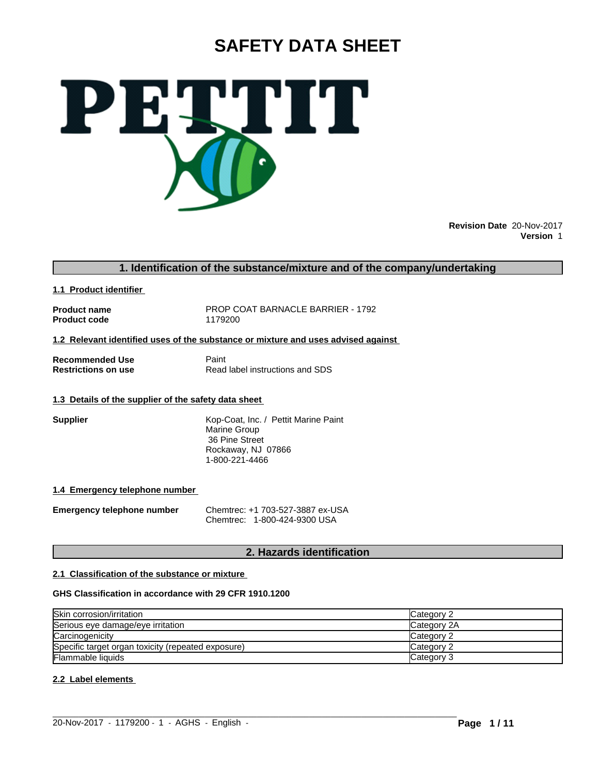# **SAFETY DATA SHEET**



**Revision Date** 20-Nov-2017 **Version** 1

# **1. Identification of the substance/mixture and of the company/undertaking**

**1.1 Product identifier** 

**Product code** 

**Product name** PROP COAT BARNACLE BARRIER - 1792<br> **Product code** 1179200

#### **1.2 Relevant identified uses of the substance or mixture and uses advised against**

**Recommended Use 6 Beam Paint Restrictions on use 6 Beam Paint Read Property** 

**Read label instructions and SDS** 

# **1.3 Details of the supplier of the safety data sheet**

**Supplier** Kop-Coat, Inc. / Pettit Marine Paint Marine Group 36 Pine Street Rockaway, NJ 07866 1-800-221-4466

# **1.4 Emergency telephone number**

**Emergency telephone number** Chemtrec: +1 703-527-3887 ex-USA Chemtrec: 1-800-424-9300 USA

# **2. Hazards identification**

# **2.1 Classification of the substance or mixture**

# **GHS Classification in accordance with 29 CFR 1910.1200**

| Skin corrosion/irritation                          | Category 2        |
|----------------------------------------------------|-------------------|
| Serious eye damage/eye irritation                  | Category 2A       |
| Carcinogenicity                                    | <b>Category 2</b> |
| Specific target organ toxicity (repeated exposure) | Category 2        |
| <b>Flammable liquids</b>                           | Category 3        |

 $\_$  ,  $\_$  ,  $\_$  ,  $\_$  ,  $\_$  ,  $\_$  ,  $\_$  ,  $\_$  ,  $\_$  ,  $\_$  ,  $\_$  ,  $\_$  ,  $\_$  ,  $\_$  ,  $\_$  ,  $\_$  ,  $\_$  ,  $\_$  ,  $\_$  ,  $\_$  ,  $\_$  ,  $\_$  ,  $\_$  ,  $\_$  ,  $\_$  ,  $\_$  ,  $\_$  ,  $\_$  ,  $\_$  ,  $\_$  ,  $\_$  ,  $\_$  ,  $\_$  ,  $\_$  ,  $\_$  ,  $\_$  ,  $\_$  ,

# **2.2 Label elements**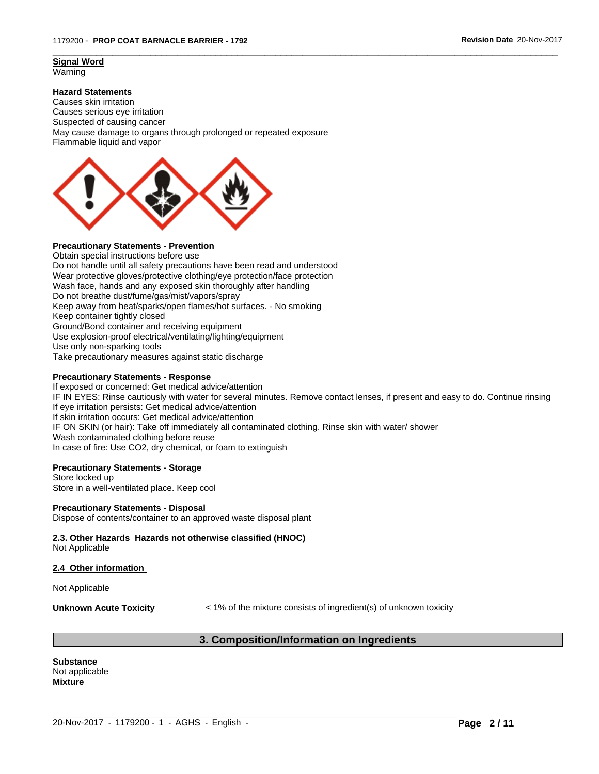#### **Signal Word** Warning

# **Hazard Statements**

Causes skin irritation Causes serious eye irritation Suspected of causing cancer May cause damage to organs through prolonged or repeated exposure Flammable liquid and vapor



# **Precautionary Statements - Prevention**

Obtain special instructions before use Do not handle until all safety precautions have been read and understood Wear protective gloves/protective clothing/eye protection/face protection Wash face, hands and any exposed skin thoroughly after handling Do not breathe dust/fume/gas/mist/vapors/spray Keep away from heat/sparks/open flames/hot surfaces. - No smoking Keep container tightly closed Ground/Bond container and receiving equipment Use explosion-proof electrical/ventilating/lighting/equipment Use only non-sparking tools Take precautionary measures against static discharge

#### **Precautionary Statements - Response**

If exposed or concerned: Get medical advice/attention IF IN EYES: Rinse cautiously with water for several minutes. Remove contact lenses, if present and easy to do. Continue rinsing If eye irritation persists: Get medical advice/attention If skin irritation occurs: Get medical advice/attention IF ON SKIN (or hair): Take off immediately all contaminated clothing. Rinse skin with water/ shower Wash contaminated clothing before reuse In case of fire: Use CO2, dry chemical, or foam to extinguish

 $\overline{\phantom{a}}$  ,  $\overline{\phantom{a}}$  ,  $\overline{\phantom{a}}$  ,  $\overline{\phantom{a}}$  ,  $\overline{\phantom{a}}$  ,  $\overline{\phantom{a}}$  ,  $\overline{\phantom{a}}$  ,  $\overline{\phantom{a}}$  ,  $\overline{\phantom{a}}$  ,  $\overline{\phantom{a}}$  ,  $\overline{\phantom{a}}$  ,  $\overline{\phantom{a}}$  ,  $\overline{\phantom{a}}$  ,  $\overline{\phantom{a}}$  ,  $\overline{\phantom{a}}$  ,  $\overline{\phantom{a}}$ 

#### **Precautionary Statements - Storage**

Store locked up Store in a well-ventilated place. Keep cool

#### **Precautionary Statements - Disposal**

Dispose of contents/container to an approved waste disposal plant

# **2.3. Other Hazards Hazards not otherwise classified (HNOC)**

Not Applicable

#### **2.4 Other information**

Not Applicable

**Unknown Acute Toxicity**  $\leq 1\%$  of the mixture consists of ingredient(s) of unknown toxicity

# **3. Composition/Information on Ingredients**

 $\_$  ,  $\_$  ,  $\_$  ,  $\_$  ,  $\_$  ,  $\_$  ,  $\_$  ,  $\_$  ,  $\_$  ,  $\_$  ,  $\_$  ,  $\_$  ,  $\_$  ,  $\_$  ,  $\_$  ,  $\_$  ,  $\_$  ,  $\_$  ,  $\_$  ,  $\_$  ,  $\_$  ,  $\_$  ,  $\_$  ,  $\_$  ,  $\_$  ,  $\_$  ,  $\_$  ,  $\_$  ,  $\_$  ,  $\_$  ,  $\_$  ,  $\_$  ,  $\_$  ,  $\_$  ,  $\_$  ,  $\_$  ,  $\_$  ,

**Substance**  Not applicable **Mixture**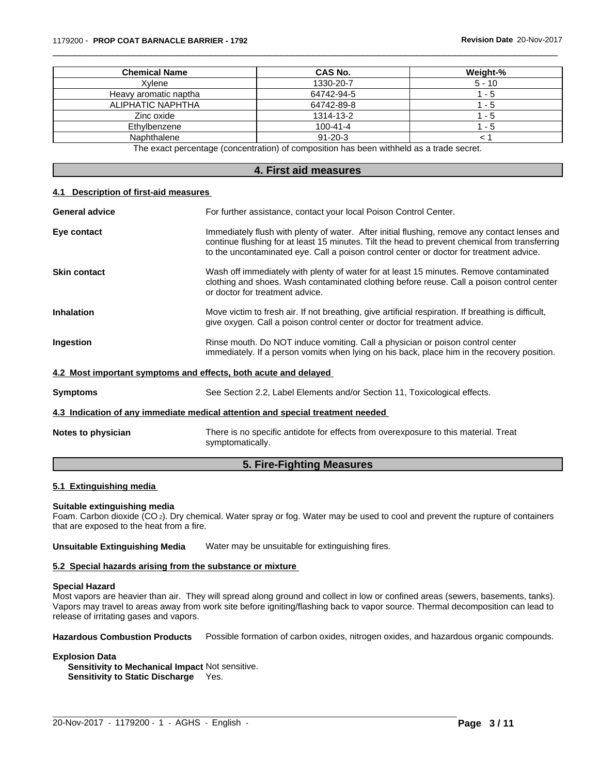| <b>Chemical Name</b>  | CAS No.                                                                                 | Weight-% |
|-----------------------|-----------------------------------------------------------------------------------------|----------|
| Xvlene                | 1330-20-7                                                                               | $5 - 10$ |
| Heavy aromatic naptha | 64742-94-5                                                                              | - 5      |
| ALIPHATIC NAPHTHA     | 64742-89-8                                                                              | - 5      |
| Zinc oxide            | 1314-13-2                                                                               | - 5      |
| Ethylbenzene          | $100 - 41 - 4$                                                                          | - 5      |
| Naphthalene           | $91 - 20 - 3$                                                                           |          |
|                       | The exact perceptage (concentration) of composition has been withhold as a trade coaret |          |

 $\overline{\phantom{a}}$  ,  $\overline{\phantom{a}}$  ,  $\overline{\phantom{a}}$  ,  $\overline{\phantom{a}}$  ,  $\overline{\phantom{a}}$  ,  $\overline{\phantom{a}}$  ,  $\overline{\phantom{a}}$  ,  $\overline{\phantom{a}}$  ,  $\overline{\phantom{a}}$  ,  $\overline{\phantom{a}}$  ,  $\overline{\phantom{a}}$  ,  $\overline{\phantom{a}}$  ,  $\overline{\phantom{a}}$  ,  $\overline{\phantom{a}}$  ,  $\overline{\phantom{a}}$  ,  $\overline{\phantom{a}}$ 

The exact percentage (concentration) of composition has been withheld as a trade secret.

#### **4. First aid measures**

#### **4.1 Description of first-aid measures**

| <b>General advice</b>                                           | For further assistance, contact your local Poison Control Center.                                                                                                                                                                                                                          |
|-----------------------------------------------------------------|--------------------------------------------------------------------------------------------------------------------------------------------------------------------------------------------------------------------------------------------------------------------------------------------|
| Eye contact                                                     | Immediately flush with plenty of water. After initial flushing, remove any contact lenses and<br>continue flushing for at least 15 minutes. Tilt the head to prevent chemical from transferring<br>to the uncontaminated eye. Call a poison control center or doctor for treatment advice. |
| <b>Skin contact</b>                                             | Wash off immediately with plenty of water for at least 15 minutes. Remove contaminated<br>clothing and shoes. Wash contaminated clothing before reuse. Call a poison control center<br>or doctor for treatment advice.                                                                     |
| <b>Inhalation</b>                                               | Move victim to fresh air. If not breathing, give artificial respiration. If breathing is difficult,<br>give oxygen. Call a poison control center or doctor for treatment advice.                                                                                                           |
| Ingestion                                                       | Rinse mouth. Do NOT induce vomiting. Call a physician or poison control center<br>immediately. If a person vomits when lying on his back, place him in the recovery position.                                                                                                              |
| 4.2 Most important symptoms and effects, both acute and delayed |                                                                                                                                                                                                                                                                                            |
| <b>Symptoms</b>                                                 | See Section 2.2, Label Elements and/or Section 11, Toxicological effects.                                                                                                                                                                                                                  |
|                                                                 | 4.3 Indication of any immediate medical attention and special treatment needed                                                                                                                                                                                                             |
| Notes to physician                                              | There is no specific antidote for effects from overexposure to this material. Treat<br>symptomatically.                                                                                                                                                                                    |

# **5. Fire-Fighting Measures**

# **5.1 Extinguishing media**

#### **Suitable extinguishing media**

Foam. Carbon dioxide (CO 2). Dry chemical. Water spray or fog. Water may be used to cool and prevent the rupture of containers that are exposed to the heat from a fire.

**Unsuitable Extinguishing Media** Water may be unsuitable for extinguishing fires.

#### **5.2 Special hazards arising from the substance or mixture**

#### **Special Hazard**

Most vapors are heavier than air. They will spread along ground and collect in low or confined areas (sewers, basements, tanks). Vapors may travel to areas away from work site before igniting/flashing back to vapor source. Thermal decomposition can lead to release of irritating gases and vapors.

**Hazardous Combustion Products** Possible formation of carbon oxides, nitrogen oxides, and hazardous organic compounds.

 $\_$  ,  $\_$  ,  $\_$  ,  $\_$  ,  $\_$  ,  $\_$  ,  $\_$  ,  $\_$  ,  $\_$  ,  $\_$  ,  $\_$  ,  $\_$  ,  $\_$  ,  $\_$  ,  $\_$  ,  $\_$  ,  $\_$  ,  $\_$  ,  $\_$  ,  $\_$  ,  $\_$  ,  $\_$  ,  $\_$  ,  $\_$  ,  $\_$  ,  $\_$  ,  $\_$  ,  $\_$  ,  $\_$  ,  $\_$  ,  $\_$  ,  $\_$  ,  $\_$  ,  $\_$  ,  $\_$  ,  $\_$  ,  $\_$  ,

#### **Explosion Data**

**Sensitivity to Mechanical Impact** Not sensitive. **Sensitivity to Static Discharge** Yes.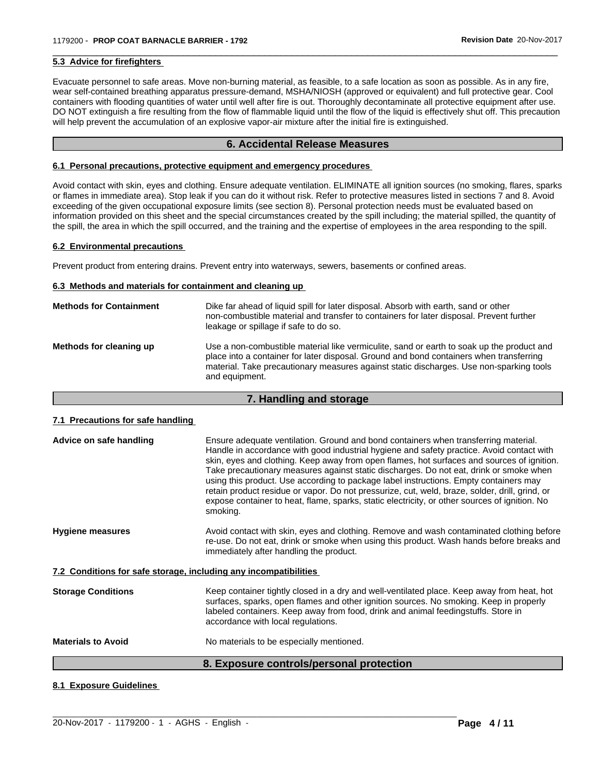#### **5.3 Advice for firefighters**

Evacuate personnel to safe areas. Move non-burning material, as feasible, to a safe location as soon as possible. As in any fire, wear self-contained breathing apparatus pressure-demand, MSHA/NIOSH (approved or equivalent) and full protective gear. Cool containers with flooding quantities of water until well after fire is out. Thoroughly decontaminate all protective equipment after use. DO NOT extinguish a fire resulting from the flow of flammable liquid until the flow of the liquid is effectively shut off. This precaution will help prevent the accumulation of an explosive vapor-air mixture after the initial fire is extinguished.

 $\overline{\phantom{a}}$  ,  $\overline{\phantom{a}}$  ,  $\overline{\phantom{a}}$  ,  $\overline{\phantom{a}}$  ,  $\overline{\phantom{a}}$  ,  $\overline{\phantom{a}}$  ,  $\overline{\phantom{a}}$  ,  $\overline{\phantom{a}}$  ,  $\overline{\phantom{a}}$  ,  $\overline{\phantom{a}}$  ,  $\overline{\phantom{a}}$  ,  $\overline{\phantom{a}}$  ,  $\overline{\phantom{a}}$  ,  $\overline{\phantom{a}}$  ,  $\overline{\phantom{a}}$  ,  $\overline{\phantom{a}}$ 

# **6. Accidental Release Measures**

#### **6.1 Personal precautions, protective equipment and emergency procedures**

Avoid contact with skin, eyes and clothing. Ensure adequate ventilation. ELIMINATE all ignition sources (no smoking, flares, sparks or flames in immediate area). Stop leak if you can do it without risk. Refer to protective measures listed in sections 7 and 8. Avoid exceeding of the given occupational exposure limits (see section 8). Personal protection needs must be evaluated based on information provided on this sheet and the special circumstances created by the spill including; the material spilled, the quantity of the spill, the area in which the spill occurred, and the training and the expertise of employees in the area responding to the spill.

#### **6.2 Environmental precautions**

Prevent product from entering drains. Prevent entry into waterways, sewers, basements or confined areas.

#### **6.3 Methods and materials for containment and cleaning up**

| <b>Methods for Containment</b> | Dike far ahead of liquid spill for later disposal. Absorb with earth, sand or other<br>non-combustible material and transfer to containers for later disposal. Prevent further<br>leakage or spillage if safe to do so.                                                                           |
|--------------------------------|---------------------------------------------------------------------------------------------------------------------------------------------------------------------------------------------------------------------------------------------------------------------------------------------------|
| Methods for cleaning up        | Use a non-combustible material like vermiculite, sand or earth to soak up the product and<br>place into a container for later disposal. Ground and bond containers when transferring<br>material. Take precautionary measures against static discharges. Use non-sparking tools<br>and equipment. |

# **7. Handling and storage**

#### **7.1 Precautions for safe handling**

|                                                                  | 8. Exposure controls/personal protection                                                                                                                                                                                                                                                                                                                                                                                                                                                                                                                                                                                                                                         |
|------------------------------------------------------------------|----------------------------------------------------------------------------------------------------------------------------------------------------------------------------------------------------------------------------------------------------------------------------------------------------------------------------------------------------------------------------------------------------------------------------------------------------------------------------------------------------------------------------------------------------------------------------------------------------------------------------------------------------------------------------------|
| <b>Materials to Avoid</b>                                        | No materials to be especially mentioned.                                                                                                                                                                                                                                                                                                                                                                                                                                                                                                                                                                                                                                         |
| <b>Storage Conditions</b>                                        | Keep container tightly closed in a dry and well-ventilated place. Keep away from heat, hot<br>surfaces, sparks, open flames and other ignition sources. No smoking. Keep in properly<br>labeled containers. Keep away from food, drink and animal feedingstuffs. Store in<br>accordance with local regulations.                                                                                                                                                                                                                                                                                                                                                                  |
| 7.2 Conditions for safe storage, including any incompatibilities |                                                                                                                                                                                                                                                                                                                                                                                                                                                                                                                                                                                                                                                                                  |
| <b>Hygiene measures</b>                                          | Avoid contact with skin, eyes and clothing. Remove and wash contaminated clothing before<br>re-use. Do not eat, drink or smoke when using this product. Wash hands before breaks and<br>immediately after handling the product.                                                                                                                                                                                                                                                                                                                                                                                                                                                  |
| Advice on safe handling                                          | Ensure adequate ventilation. Ground and bond containers when transferring material.<br>Handle in accordance with good industrial hygiene and safety practice. Avoid contact with<br>skin, eyes and clothing. Keep away from open flames, hot surfaces and sources of ignition.<br>Take precautionary measures against static discharges. Do not eat, drink or smoke when<br>using this product. Use according to package label instructions. Empty containers may<br>retain product residue or vapor. Do not pressurize, cut, weld, braze, solder, drill, grind, or<br>expose container to heat, flame, sparks, static electricity, or other sources of ignition. No<br>smoking. |

#### **8.1 Exposure Guidelines**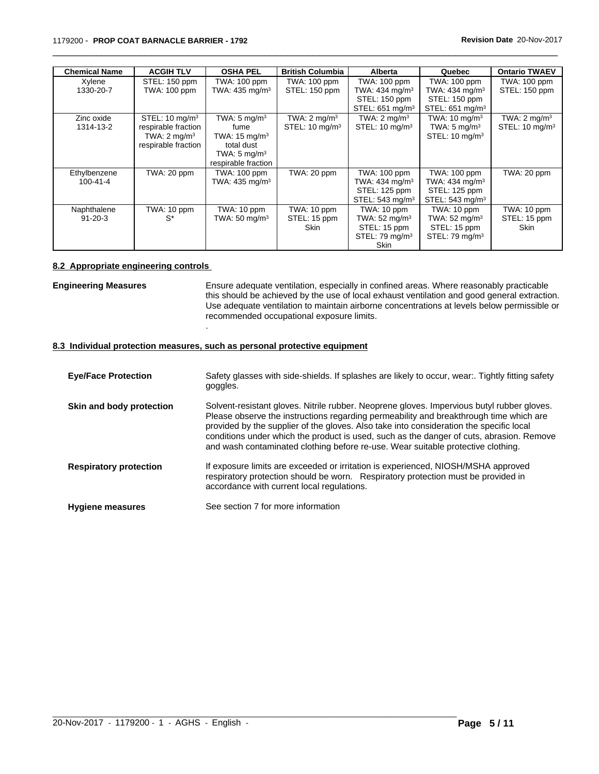| <b>Chemical Name</b> | <b>ACGIH TLV</b>          | <b>OSHA PEL</b>            | <b>British Columbia</b>   | <b>Alberta</b>              | Quebec                      | <b>Ontario TWAEV</b>      |
|----------------------|---------------------------|----------------------------|---------------------------|-----------------------------|-----------------------------|---------------------------|
| Xylene               | STEL: 150 ppm             | TWA: 100 ppm               | TWA: 100 ppm              | <b>TWA: 100 ppm</b>         | TWA: 100 ppm                | TWA: 100 ppm              |
| 1330-20-7            | <b>TWA: 100 ppm</b>       | TWA: 435 mg/m <sup>3</sup> | STEL: 150 ppm             | TWA: 434 mg/m <sup>3</sup>  | TWA: 434 mg/m <sup>3</sup>  | STEL: 150 ppm             |
|                      |                           |                            |                           | STEL: 150 ppm               | STEL: 150 ppm               |                           |
|                      |                           |                            |                           | STEL: 651 mg/m <sup>3</sup> | STEL: 651 mg/m <sup>3</sup> |                           |
| Zinc oxide           | STEL: $10 \text{ mg/m}^3$ | TWA: $5 \text{ mg/m}^3$    | TWA: $2 \text{ mg/m}^3$   | TWA: $2 \text{ mq/m}^3$     | TWA: $10 \text{ mg/m}^3$    | TWA: $2 \text{ mg/m}^3$   |
| 1314-13-2            | respirable fraction       | fume                       | STEL: $10 \text{ mg/m}^3$ | STEL: $10 \text{ mg/m}^3$   | TWA: $5 \text{ mg/m}^3$     | STEL: $10 \text{ mg/m}^3$ |
|                      | TWA: $2 \text{ mg/m}^3$   | TWA: $15 \text{ mg/m}^3$   |                           |                             | STEL: $10 \text{ mg/m}^3$   |                           |
|                      | respirable fraction       | total dust                 |                           |                             |                             |                           |
|                      |                           | TWA: $5 \text{ mg/m}^3$    |                           |                             |                             |                           |
|                      |                           | respirable fraction        |                           |                             |                             |                           |
| Ethylbenzene         | TWA: 20 ppm               | TWA: 100 ppm               | TWA: 20 ppm               | TWA: 100 ppm                | TWA: 100 ppm                | TWA: 20 ppm               |
| 100-41-4             |                           | TWA: 435 mg/m <sup>3</sup> |                           | TWA: $434 \text{ mg/m}^3$   | TWA: 434 mg/m <sup>3</sup>  |                           |
|                      |                           |                            |                           | STEL: 125 ppm               | STEL: 125 ppm               |                           |
|                      |                           |                            |                           | STEL: 543 mg/m <sup>3</sup> | STEL: 543 mg/m <sup>3</sup> |                           |
| Naphthalene          | TWA: 10 ppm               | TWA: 10 ppm                | TWA: 10 ppm               | TWA: 10 ppm                 | TWA: 10 ppm                 | TWA: 10 ppm               |
| $91 - 20 - 3$        | $S^*$                     | TWA: $50 \text{ mg/m}^3$   | STEL: 15 ppm              | TWA: $52 \text{ mg/m}^3$    | TWA: $52 \text{ mg/m}^3$    | STEL: 15 ppm              |
|                      |                           |                            | Skin                      | STEL: 15 ppm                | STEL: 15 ppm                | <b>Skin</b>               |
|                      |                           |                            |                           | STEL: 79 $mg/m3$            | STEL: 79 mg/m <sup>3</sup>  |                           |
|                      |                           |                            |                           | Skin                        |                             |                           |

 $\overline{\phantom{a}}$  ,  $\overline{\phantom{a}}$  ,  $\overline{\phantom{a}}$  ,  $\overline{\phantom{a}}$  ,  $\overline{\phantom{a}}$  ,  $\overline{\phantom{a}}$  ,  $\overline{\phantom{a}}$  ,  $\overline{\phantom{a}}$  ,  $\overline{\phantom{a}}$  ,  $\overline{\phantom{a}}$  ,  $\overline{\phantom{a}}$  ,  $\overline{\phantom{a}}$  ,  $\overline{\phantom{a}}$  ,  $\overline{\phantom{a}}$  ,  $\overline{\phantom{a}}$  ,  $\overline{\phantom{a}}$ 

#### **8.2 Appropriate engineering controls**

**Engineering Measures** Ensure adequate ventilation, especially in confined areas. Where reasonably practicable this should be achieved by the use of local exhaust ventilation and good general extraction. Use adequate ventilation to maintain airborne concentrations at levels below permissible or recommended occupational exposure limits.

# **8.3 Individual protection measures, such as personal protective equipment**

.

| <b>Eye/Face Protection</b>    | Safety glasses with side-shields. If splashes are likely to occur, wear Tightly fitting safety<br>goggles.                                                                                                                                                                                                                                                                                                                                                      |
|-------------------------------|-----------------------------------------------------------------------------------------------------------------------------------------------------------------------------------------------------------------------------------------------------------------------------------------------------------------------------------------------------------------------------------------------------------------------------------------------------------------|
| Skin and body protection      | Solvent-resistant gloves. Nitrile rubber. Neoprene gloves. Impervious butyl rubber gloves.<br>Please observe the instructions regarding permeability and breakthrough time which are<br>provided by the supplier of the gloves. Also take into consideration the specific local<br>conditions under which the product is used, such as the danger of cuts, abrasion. Remove<br>and wash contaminated clothing before re-use. Wear suitable protective clothing. |
| <b>Respiratory protection</b> | If exposure limits are exceeded or irritation is experienced, NIOSH/MSHA approved<br>respiratory protection should be worn. Respiratory protection must be provided in<br>accordance with current local regulations.                                                                                                                                                                                                                                            |
| <b>Hygiene measures</b>       | See section 7 for more information                                                                                                                                                                                                                                                                                                                                                                                                                              |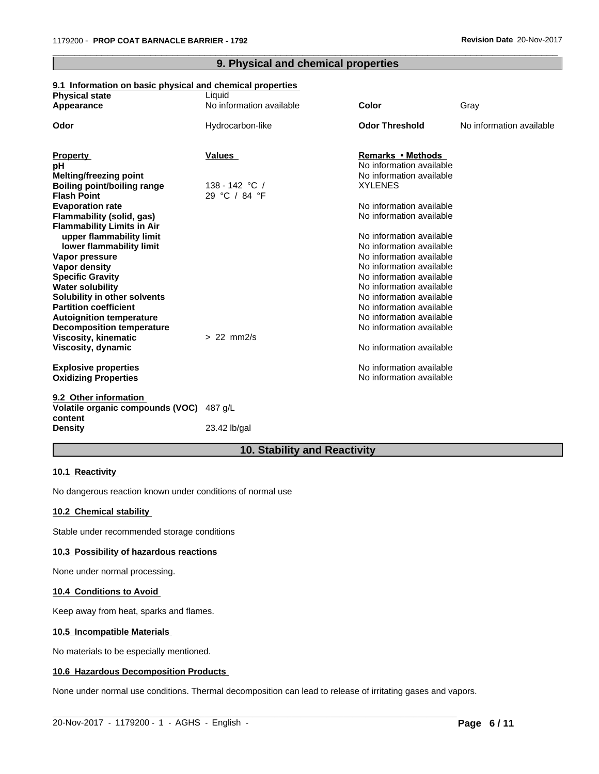| <u>9.1 Information on basic physical and chemical properties</u><br><b>Physical state</b><br>Appearance | Liquid<br>No information available | Color                    | Gray                     |
|---------------------------------------------------------------------------------------------------------|------------------------------------|--------------------------|--------------------------|
|                                                                                                         |                                    |                          |                          |
| Odor                                                                                                    | Hydrocarbon-like                   | <b>Odor Threshold</b>    | No information available |
|                                                                                                         |                                    |                          |                          |
| <b>Property</b>                                                                                         | <b>Values</b>                      | <b>Remarks • Methods</b> |                          |
| рH                                                                                                      |                                    | No information available |                          |
| Melting/freezing point                                                                                  |                                    | No information available |                          |
| <b>Boiling point/boiling range</b>                                                                      | 138 - 142 °C /                     | <b>XYLENES</b>           |                          |
| <b>Flash Point</b>                                                                                      | 29 °C / 84 °F                      |                          |                          |
| <b>Evaporation rate</b>                                                                                 |                                    | No information available |                          |
| Flammability (solid, gas)                                                                               |                                    | No information available |                          |
| <b>Flammability Limits in Air</b>                                                                       |                                    |                          |                          |
| upper flammability limit                                                                                |                                    | No information available |                          |
| lower flammability limit                                                                                |                                    | No information available |                          |
| Vapor pressure                                                                                          |                                    | No information available |                          |
| <b>Vapor density</b>                                                                                    |                                    | No information available |                          |
| <b>Specific Gravity</b>                                                                                 |                                    | No information available |                          |
| <b>Water solubility</b>                                                                                 |                                    | No information available |                          |
| Solubility in other solvents                                                                            |                                    | No information available |                          |
| <b>Partition coefficient</b>                                                                            |                                    | No information available |                          |
| <b>Autoignition temperature</b>                                                                         |                                    | No information available |                          |
| <b>Decomposition temperature</b>                                                                        |                                    | No information available |                          |
| <b>Viscosity, kinematic</b>                                                                             | $> 22$ mm $2/s$                    |                          |                          |
| Viscosity, dynamic                                                                                      |                                    | No information available |                          |
| <b>Explosive properties</b>                                                                             |                                    | No information available |                          |
| <b>Oxidizing Properties</b>                                                                             |                                    | No information available |                          |
|                                                                                                         |                                    |                          |                          |
| 9.2 Other information<br>Volatile organic compounds (VOC) 487 g/L                                       |                                    |                          |                          |
| content                                                                                                 |                                    |                          |                          |
| <b>Density</b>                                                                                          | 23.42 lb/gal                       |                          |                          |
|                                                                                                         |                                    |                          |                          |

# **9. Physical and chemical properties**

 $\overline{\phantom{a}}$  ,  $\overline{\phantom{a}}$  ,  $\overline{\phantom{a}}$  ,  $\overline{\phantom{a}}$  ,  $\overline{\phantom{a}}$  ,  $\overline{\phantom{a}}$  ,  $\overline{\phantom{a}}$  ,  $\overline{\phantom{a}}$  ,  $\overline{\phantom{a}}$  ,  $\overline{\phantom{a}}$  ,  $\overline{\phantom{a}}$  ,  $\overline{\phantom{a}}$  ,  $\overline{\phantom{a}}$  ,  $\overline{\phantom{a}}$  ,  $\overline{\phantom{a}}$  ,  $\overline{\phantom{a}}$ 

# **9.1 Information on basic physical and chemical properties**

# **10. Stability and Reactivity**

# **10.1 Reactivity**

No dangerous reaction known under conditions of normal use

# **10.2 Chemical stability**

Stable under recommended storage conditions

#### **10.3 Possibility of hazardous reactions**

None under normal processing.

# **10.4 Conditions to Avoid**

Keep away from heat, sparks and flames.

# **10.5 Incompatible Materials**

No materials to be especially mentioned.

# **10.6 Hazardous Decomposition Products**

None under normal use conditions. Thermal decomposition can lead to release of irritating gases and vapors.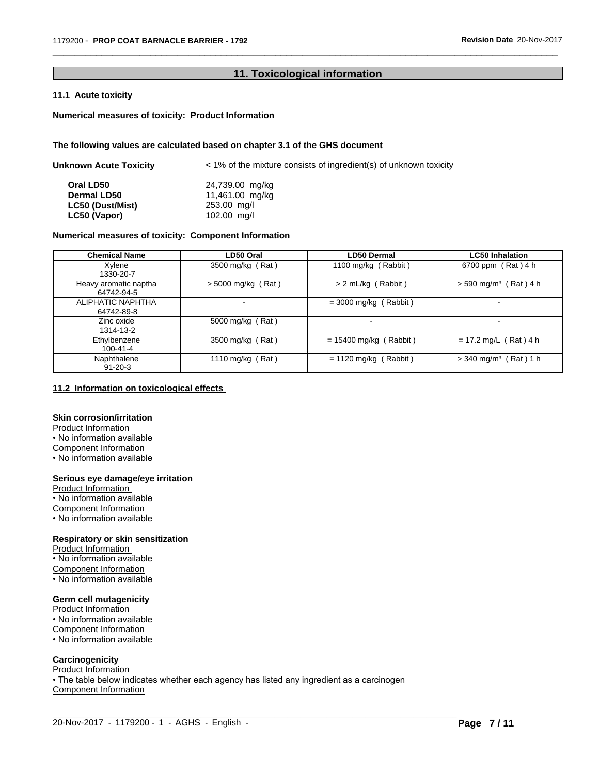# **11. Toxicological information**

 $\overline{\phantom{a}}$  ,  $\overline{\phantom{a}}$  ,  $\overline{\phantom{a}}$  ,  $\overline{\phantom{a}}$  ,  $\overline{\phantom{a}}$  ,  $\overline{\phantom{a}}$  ,  $\overline{\phantom{a}}$  ,  $\overline{\phantom{a}}$  ,  $\overline{\phantom{a}}$  ,  $\overline{\phantom{a}}$  ,  $\overline{\phantom{a}}$  ,  $\overline{\phantom{a}}$  ,  $\overline{\phantom{a}}$  ,  $\overline{\phantom{a}}$  ,  $\overline{\phantom{a}}$  ,  $\overline{\phantom{a}}$ 

# **11.1 Acute toxicity**

# **Numerical measures of toxicity: Product Information**

# **The following values are calculated based on chapter 3.1 of the GHS document**

| Unknown Acute Toxicity | $\epsilon$ 1% of the mixture consists of ingredient(s) of unknown toxicity |
|------------------------|----------------------------------------------------------------------------|
| Oral LD50              | 24,739.00 mg/kg                                                            |
| <b>Dermal LD50</b>     | 11,461.00 mg/kg                                                            |
| LC50 (Dust/Mist)       | 253.00 mg/l                                                                |
| LC50 (Vapor)           | 102.00 mg/l                                                                |

# **Numerical measures of toxicity: Component Information**

| <b>Chemical Name</b>                | LD50 Oral            | <b>LD50 Dermal</b>       | <b>LC50 Inhalation</b>              |
|-------------------------------------|----------------------|--------------------------|-------------------------------------|
| Xylene<br>1330-20-7                 | 3500 mg/kg (Rat)     | 1100 mg/kg (Rabbit)      | 6700 ppm (Rat) 4 h                  |
| Heavy aromatic naptha<br>64742-94-5 | $>$ 5000 mg/kg (Rat) | $> 2$ mL/kg (Rabbit)     | $>$ 590 mg/m <sup>3</sup> (Rat) 4 h |
| ALIPHATIC NAPHTHA<br>64742-89-8     |                      | $=$ 3000 mg/kg (Rabbit)  | -                                   |
| Zinc oxide<br>1314-13-2             | 5000 mg/kg (Rat)     |                          | $\,$                                |
| Ethylbenzene<br>100-41-4            | 3500 mg/kg (Rat)     | $= 15400$ mg/kg (Rabbit) | $= 17.2$ mg/L (Rat) 4 h             |
| Naphthalene<br>$91 - 20 - 3$        | 1110 mg/kg (Rat)     | $= 1120$ mg/kg (Rabbit)  | $>$ 340 mg/m <sup>3</sup> (Rat) 1 h |

# **11.2 Information on toxicologicaleffects**

# **Skin corrosion/irritation**

Product Information • No information available Component Information

• No information available

# **Serious eye damage/eye irritation**

Product Information • No information available Component Information • No information available

# **Respiratory or skin sensitization**

Product Information • No information available Component Information • No information available

# **Germ cell mutagenicity**

Product Information • No information available Component Information • No information available

#### **Carcinogenicity**

Product Information

• The table below indicates whether each agency has listed any ingredient as a carcinogen Component Information

 $\_$  ,  $\_$  ,  $\_$  ,  $\_$  ,  $\_$  ,  $\_$  ,  $\_$  ,  $\_$  ,  $\_$  ,  $\_$  ,  $\_$  ,  $\_$  ,  $\_$  ,  $\_$  ,  $\_$  ,  $\_$  ,  $\_$  ,  $\_$  ,  $\_$  ,  $\_$  ,  $\_$  ,  $\_$  ,  $\_$  ,  $\_$  ,  $\_$  ,  $\_$  ,  $\_$  ,  $\_$  ,  $\_$  ,  $\_$  ,  $\_$  ,  $\_$  ,  $\_$  ,  $\_$  ,  $\_$  ,  $\_$  ,  $\_$  ,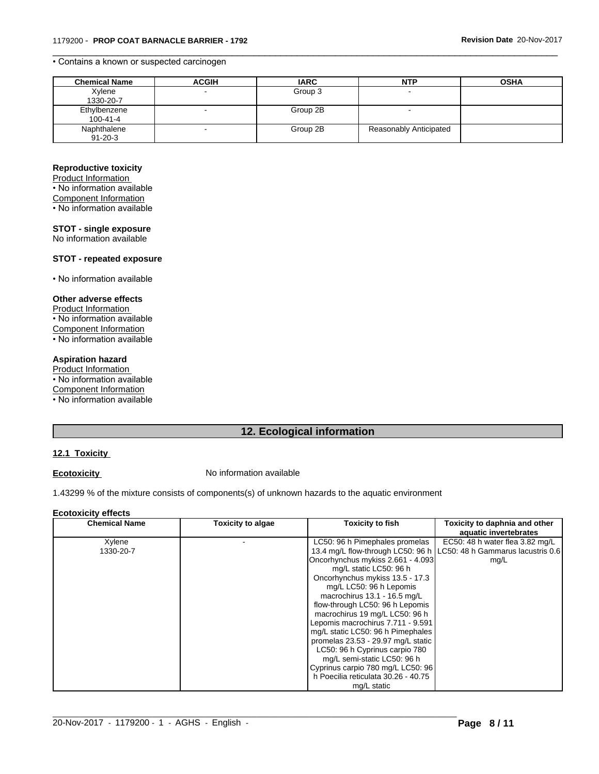# • Contains a known or suspected carcinogen

| <b>Chemical Name</b> | <b>ACGIH</b> | <b>IARC</b> | <b>NTP</b>             | <b>OSHA</b> |
|----------------------|--------------|-------------|------------------------|-------------|
| Xylene               |              | Group 3     |                        |             |
| 1330-20-7            |              |             |                        |             |
| Ethylbenzene         |              | Group 2B    |                        |             |
| 100-41-4             |              |             |                        |             |
| Naphthalene          |              | Group 2B    | Reasonably Anticipated |             |
| $91 - 20 - 3$        |              |             |                        |             |

 $\overline{\phantom{a}}$  ,  $\overline{\phantom{a}}$  ,  $\overline{\phantom{a}}$  ,  $\overline{\phantom{a}}$  ,  $\overline{\phantom{a}}$  ,  $\overline{\phantom{a}}$  ,  $\overline{\phantom{a}}$  ,  $\overline{\phantom{a}}$  ,  $\overline{\phantom{a}}$  ,  $\overline{\phantom{a}}$  ,  $\overline{\phantom{a}}$  ,  $\overline{\phantom{a}}$  ,  $\overline{\phantom{a}}$  ,  $\overline{\phantom{a}}$  ,  $\overline{\phantom{a}}$  ,  $\overline{\phantom{a}}$ 

# **Reproductive toxicity**

Product Information

• No information available

Component Information

• No information available

# **STOT - single exposure**

No information available

# **STOT - repeated exposure**

• No information available

# **Other adverse effects**

Product Information • No information available Component Information • No information available

# **Aspiration hazard**

Product Information

• No information available

Component Information

 $\overline{\cdot}$  No information available

# **12. Ecological information**

# **12.1 Toxicity**

**Ecotoxicity No information available** 

1.43299 % of the mixture consists of components(s) of unknown hazards to the aquatic environment

#### **Ecotoxicity effects**

| <b>Chemical Name</b> | <b>Toxicity to algae</b> | <b>Toxicity to fish</b>             | Toxicity to daphnia and other<br>aquatic invertebrates                |  |
|----------------------|--------------------------|-------------------------------------|-----------------------------------------------------------------------|--|
|                      |                          |                                     | EC50: 48 h water flea 3.82 mg/L                                       |  |
| Xylene               |                          | LC50: 96 h Pimephales promelas      |                                                                       |  |
| 1330-20-7            |                          |                                     | 13.4 mg/L flow-through LC50: 96 h   LC50: 48 h Gammarus lacustris 0.6 |  |
|                      |                          | Oncorhynchus mykiss 2.661 - 4.093   | mg/L                                                                  |  |
|                      |                          | mg/L static LC50: 96 h              |                                                                       |  |
|                      |                          | Oncorhynchus mykiss 13.5 - 17.3     |                                                                       |  |
|                      |                          | mg/L LC50: 96 h Lepomis             |                                                                       |  |
|                      |                          | macrochirus 13.1 - 16.5 mg/L        |                                                                       |  |
|                      |                          | flow-through LC50: 96 h Lepomis     |                                                                       |  |
|                      |                          | macrochirus 19 mg/L LC50: 96 h      |                                                                       |  |
|                      |                          | Lepomis macrochirus 7.711 - 9.591   |                                                                       |  |
|                      |                          | mg/L static LC50: 96 h Pimephales   |                                                                       |  |
|                      |                          | promelas 23.53 - 29.97 mg/L static  |                                                                       |  |
|                      |                          | LC50: 96 h Cyprinus carpio 780      |                                                                       |  |
|                      |                          | mg/L semi-static LC50: 96 h         |                                                                       |  |
|                      |                          | Cyprinus carpio 780 mg/L LC50: 96   |                                                                       |  |
|                      |                          | h Poecilia reticulata 30.26 - 40.75 |                                                                       |  |
|                      |                          | mg/L static                         |                                                                       |  |

 $\_$  ,  $\_$  ,  $\_$  ,  $\_$  ,  $\_$  ,  $\_$  ,  $\_$  ,  $\_$  ,  $\_$  ,  $\_$  ,  $\_$  ,  $\_$  ,  $\_$  ,  $\_$  ,  $\_$  ,  $\_$  ,  $\_$  ,  $\_$  ,  $\_$  ,  $\_$  ,  $\_$  ,  $\_$  ,  $\_$  ,  $\_$  ,  $\_$  ,  $\_$  ,  $\_$  ,  $\_$  ,  $\_$  ,  $\_$  ,  $\_$  ,  $\_$  ,  $\_$  ,  $\_$  ,  $\_$  ,  $\_$  ,  $\_$  ,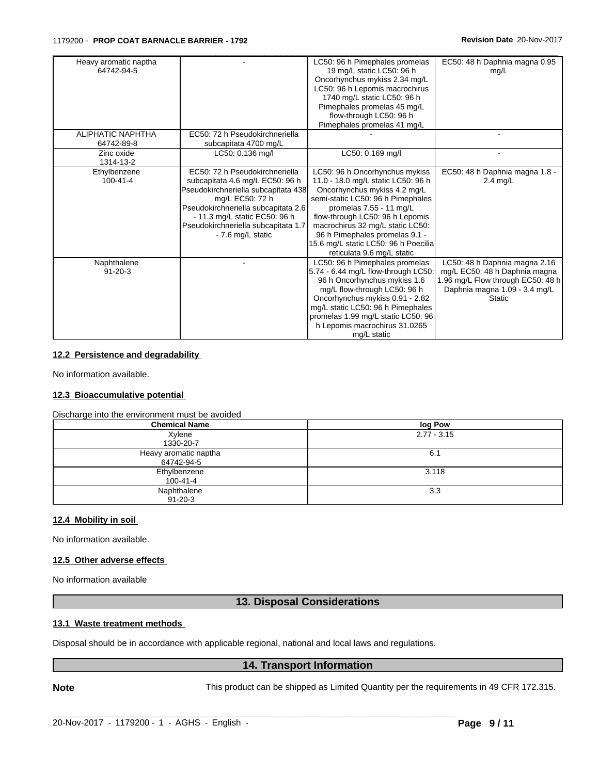| Heavy aromatic naptha<br>64742-94-5    |                                                                                                                                                                                                                                                                 | LC50: 96 h Pimephales promelas<br>19 mg/L static LC50: 96 h<br>Oncorhynchus mykiss 2.34 mg/L<br>LC50: 96 h Lepomis macrochirus<br>1740 mg/L static LC50: 96 h<br>Pimephales promelas 45 mg/L<br>flow-through LC50: 96 h<br>Pimephales promelas 41 mg/L                                                                                              | EC50: 48 h Daphnia magna 0.95<br>mq/L                                                                                                                 |
|----------------------------------------|-----------------------------------------------------------------------------------------------------------------------------------------------------------------------------------------------------------------------------------------------------------------|-----------------------------------------------------------------------------------------------------------------------------------------------------------------------------------------------------------------------------------------------------------------------------------------------------------------------------------------------------|-------------------------------------------------------------------------------------------------------------------------------------------------------|
| <b>ALIPHATIC NAPHTHA</b><br>64742-89-8 | EC50: 72 h Pseudokirchneriella<br>subcapitata 4700 mg/L                                                                                                                                                                                                         |                                                                                                                                                                                                                                                                                                                                                     |                                                                                                                                                       |
| Zinc oxide<br>1314-13-2                | LC50: 0.136 mg/l                                                                                                                                                                                                                                                | LC50: 0.169 mg/l                                                                                                                                                                                                                                                                                                                                    |                                                                                                                                                       |
| Ethylbenzene<br>$100 - 41 - 4$         | EC50: 72 h Pseudokirchneriella<br>subcapitata 4.6 mg/L EC50: 96 h<br>Pseudokirchneriella subcapitata 438<br>mg/L EC50: 72 h<br>Pseudokirchneriella subcapitata 2.6<br>- 11.3 mg/L static EC50: 96 h<br>Pseudokirchneriella subcapitata 1.7<br>- 7.6 mg/L static | LC50: 96 h Oncorhynchus mykiss<br>11.0 - 18.0 mg/L static LC50: 96 h<br>Oncorhynchus mykiss 4.2 mg/L<br>semi-static LC50: 96 h Pimephales<br>promelas 7.55 - 11 mg/L<br>flow-through LC50: 96 h Lepomis<br>macrochirus 32 mg/L static LC50:<br>96 h Pimephales promelas 9.1 -<br>15.6 mg/L static LC50: 96 h Poecilia<br>reticulata 9.6 mg/L static | EC50: 48 h Daphnia magna 1.8 -<br>$2.4 \text{ mg/L}$                                                                                                  |
| Naphthalene<br>$91 - 20 - 3$           |                                                                                                                                                                                                                                                                 | LC50: 96 h Pimephales promelas<br>5.74 - 6.44 mg/L flow-through LC50:<br>96 h Oncorhynchus mykiss 1.6<br>mg/L flow-through LC50: 96 h<br>Oncorhynchus mykiss 0.91 - 2.82<br>mg/L static LC50: 96 h Pimephales<br>promelas 1.99 mg/L static LC50: 96<br>h Lepomis macrochirus 31.0265<br>mg/L static                                                 | LC50: 48 h Daphnia magna 2.16<br>mg/L EC50: 48 h Daphnia magna<br>1.96 mg/L Flow through EC50: 48 h<br>Daphnia magna 1.09 - 3.4 mg/L<br><b>Static</b> |

# **12.2 Persistence and degradability**

No information available.

# **12.3 Bioaccumulative potential**

Discharge into the environment must be avoided

| <b>Chemical Name</b>  | log Pow       |
|-----------------------|---------------|
| Xylene                | $2.77 - 3.15$ |
| 1330-20-7             |               |
| Heavy aromatic naptha | 6.1           |
| 64742-94-5            |               |
| Ethylbenzene          | 3.118         |
| 100-41-4              |               |
| Naphthalene           | 3.3           |
| $91 - 20 - 3$         |               |

#### **12.4 Mobility in soil**

No information available.

# **12.5 Other adverse effects**

No information available

# **13. Disposal Considerations**

# **13.1 Waste treatment methods**

Disposal should be in accordance with applicable regional, national and local laws and regulations.

# **14. Transport Information**

 $\_$  ,  $\_$  ,  $\_$  ,  $\_$  ,  $\_$  ,  $\_$  ,  $\_$  ,  $\_$  ,  $\_$  ,  $\_$  ,  $\_$  ,  $\_$  ,  $\_$  ,  $\_$  ,  $\_$  ,  $\_$  ,  $\_$  ,  $\_$  ,  $\_$  ,  $\_$  ,  $\_$  ,  $\_$  ,  $\_$  ,  $\_$  ,  $\_$  ,  $\_$  ,  $\_$  ,  $\_$  ,  $\_$  ,  $\_$  ,  $\_$  ,  $\_$  ,  $\_$  ,  $\_$  ,  $\_$  ,  $\_$  ,  $\_$  ,

**Note** This product can be shipped as Limited Quantity per the requirements in 49 CFR 172.315.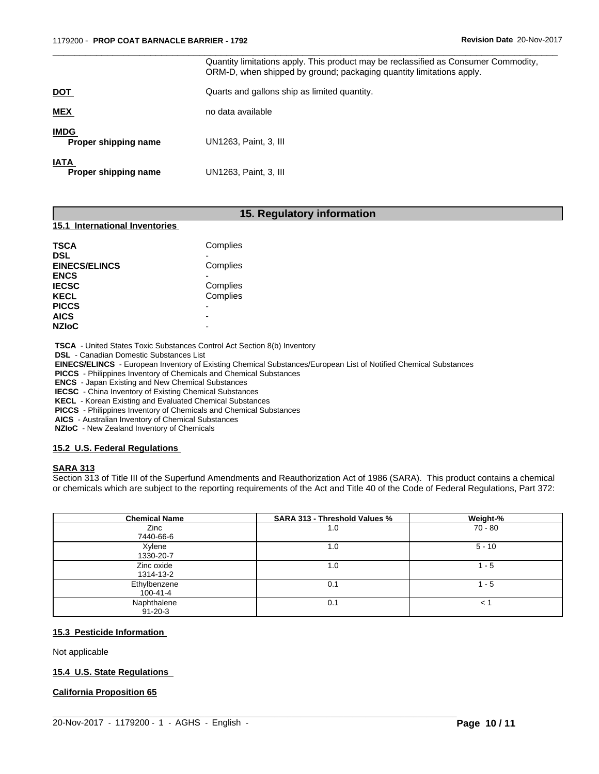|                                     | Quantity limitations apply. This product may be reclassified as Consumer Commodity,<br>ORM-D, when shipped by ground; packaging quantity limitations apply. |
|-------------------------------------|-------------------------------------------------------------------------------------------------------------------------------------------------------------|
| <b>DOT</b>                          | Quarts and gallons ship as limited quantity.                                                                                                                |
| <b>MEX</b>                          | no data available                                                                                                                                           |
| <b>IMDG</b><br>Proper shipping name | UN1263, Paint, 3, III                                                                                                                                       |
| <b>IATA</b><br>Proper shipping name | UN1263, Paint, 3, III                                                                                                                                       |

 $\overline{\phantom{a}}$  ,  $\overline{\phantom{a}}$  ,  $\overline{\phantom{a}}$  ,  $\overline{\phantom{a}}$  ,  $\overline{\phantom{a}}$  ,  $\overline{\phantom{a}}$  ,  $\overline{\phantom{a}}$  ,  $\overline{\phantom{a}}$  ,  $\overline{\phantom{a}}$  ,  $\overline{\phantom{a}}$  ,  $\overline{\phantom{a}}$  ,  $\overline{\phantom{a}}$  ,  $\overline{\phantom{a}}$  ,  $\overline{\phantom{a}}$  ,  $\overline{\phantom{a}}$  ,  $\overline{\phantom{a}}$ 

# **15. Regulatory information**

# **15.1 International Inventories**

 **TSCA** - United States Toxic Substances Control Act Section 8(b) Inventory

 **DSL** - Canadian Domestic Substances List

 **EINECS/ELINCS** - European Inventory of Existing Chemical Substances/European List of Notified Chemical Substances

 **PICCS** - Philippines Inventory of Chemicals and Chemical Substances

 **ENCS** - Japan Existing and New Chemical Substances

 **IECSC** - China Inventory of Existing Chemical Substances

 **KECL** - Korean Existing and Evaluated Chemical Substances

 **PICCS** - Philippines Inventory of Chemicals and Chemical Substances

 **AICS** - Australian Inventory of Chemical Substances

 **NZIoC** - New Zealand Inventory of Chemicals

#### **15.2 U.S. Federal Regulations**

#### **SARA 313**

Section 313 of Title III of the Superfund Amendments and Reauthorization Act of 1986 (SARA). This product contains a chemical or chemicals which are subject to the reporting requirements of the Act and Title 40 of the Code of Federal Regulations, Part 372:

| <b>Chemical Name</b> | SARA 313 - Threshold Values % | Weight-%     |
|----------------------|-------------------------------|--------------|
| Zinc                 | 1.0                           | $70 - 80$    |
| 7440-66-6            |                               |              |
| Xylene               | 1.0                           | $5 - 10$     |
| 1330-20-7            |                               |              |
| Zinc oxide           | 1.0                           | - 5          |
| 1314-13-2            |                               |              |
| Ethylbenzene         | 0.1                           | 1 - 5        |
| 100-41-4             |                               |              |
| Naphthalene          | 0.1                           | $\epsilon$ . |
| $91 - 20 - 3$        |                               |              |

 $\_$  ,  $\_$  ,  $\_$  ,  $\_$  ,  $\_$  ,  $\_$  ,  $\_$  ,  $\_$  ,  $\_$  ,  $\_$  ,  $\_$  ,  $\_$  ,  $\_$  ,  $\_$  ,  $\_$  ,  $\_$  ,  $\_$  ,  $\_$  ,  $\_$  ,  $\_$  ,  $\_$  ,  $\_$  ,  $\_$  ,  $\_$  ,  $\_$  ,  $\_$  ,  $\_$  ,  $\_$  ,  $\_$  ,  $\_$  ,  $\_$  ,  $\_$  ,  $\_$  ,  $\_$  ,  $\_$  ,  $\_$  ,  $\_$  ,

# **15.3 Pesticide Information**

#### Not applicable

# **15.4 U.S. State Regulations**

**California Proposition 65**